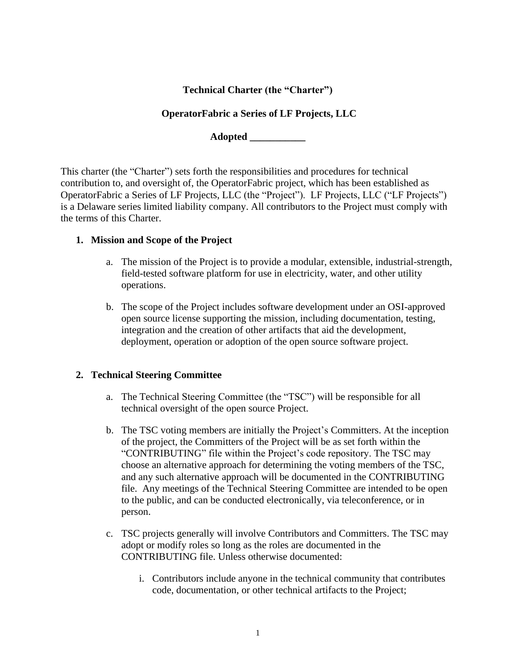# **Technical Charter (the "Charter")**

### **OperatorFabric a Series of LF Projects, LLC**

**Adopted \_\_\_\_\_\_\_\_\_\_\_**

This charter (the "Charter") sets forth the responsibilities and procedures for technical contribution to, and oversight of, the OperatorFabric project, which has been established as OperatorFabric a Series of LF Projects, LLC (the "Project"). LF Projects, LLC ("LF Projects") is a Delaware series limited liability company. All contributors to the Project must comply with the terms of this Charter.

#### **1. Mission and Scope of the Project**

- a. The mission of the Project is to provide a modular, extensible, industrial-strength, field-tested software platform for use in electricity, water, and other utility operations.
- b. The scope of the Project includes software development under an OSI-approved open source license supporting the mission, including documentation, testing, integration and the creation of other artifacts that aid the development, deployment, operation or adoption of the open source software project.

### **2. Technical Steering Committee**

- a. The Technical Steering Committee (the "TSC") will be responsible for all technical oversight of the open source Project.
- b. The TSC voting members are initially the Project's Committers. At the inception of the project, the Committers of the Project will be as set forth within the "CONTRIBUTING" file within the Project's code repository. The TSC may choose an alternative approach for determining the voting members of the TSC, and any such alternative approach will be documented in the CONTRIBUTING file. Any meetings of the Technical Steering Committee are intended to be open to the public, and can be conducted electronically, via teleconference, or in person.
- c. TSC projects generally will involve Contributors and Committers. The TSC may adopt or modify roles so long as the roles are documented in the CONTRIBUTING file. Unless otherwise documented:
	- i. Contributors include anyone in the technical community that contributes code, documentation, or other technical artifacts to the Project;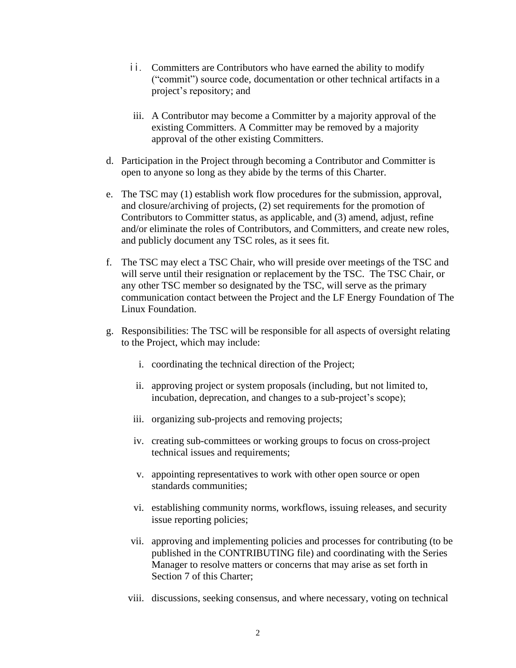- ii. Committers are Contributors who have earned the ability to modify ("commit") source code, documentation or other technical artifacts in a project's repository; and
- iii. A Contributor may become a Committer by a majority approval of the existing Committers. A Committer may be removed by a majority approval of the other existing Committers.
- d. Participation in the Project through becoming a Contributor and Committer is open to anyone so long as they abide by the terms of this Charter.
- e. The TSC may (1) establish work flow procedures for the submission, approval, and closure/archiving of projects, (2) set requirements for the promotion of Contributors to Committer status, as applicable, and (3) amend, adjust, refine and/or eliminate the roles of Contributors, and Committers, and create new roles, and publicly document any TSC roles, as it sees fit.
- f. The TSC may elect a TSC Chair, who will preside over meetings of the TSC and will serve until their resignation or replacement by the TSC. The TSC Chair, or any other TSC member so designated by the TSC, will serve as the primary communication contact between the Project and the LF Energy Foundation of The Linux Foundation.
- g. Responsibilities: The TSC will be responsible for all aspects of oversight relating to the Project, which may include:
	- i. coordinating the technical direction of the Project;
	- ii. approving project or system proposals (including, but not limited to, incubation, deprecation, and changes to a sub-project's scope);
	- iii. organizing sub-projects and removing projects;
	- iv. creating sub-committees or working groups to focus on cross-project technical issues and requirements;
	- v. appointing representatives to work with other open source or open standards communities;
	- vi. establishing community norms, workflows, issuing releases, and security issue reporting policies;
	- vii. approving and implementing policies and processes for contributing (to be published in the CONTRIBUTING file) and coordinating with the Series Manager to resolve matters or concerns that may arise as set forth in Section 7 of this Charter;
	- viii. discussions, seeking consensus, and where necessary, voting on technical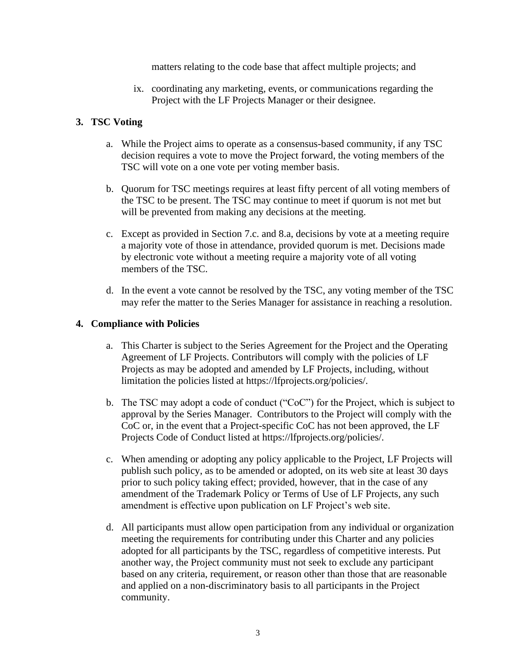matters relating to the code base that affect multiple projects; and

ix. coordinating any marketing, events, or communications regarding the Project with the LF Projects Manager or their designee.

### **3. TSC Voting**

- a. While the Project aims to operate as a consensus-based community, if any TSC decision requires a vote to move the Project forward, the voting members of the TSC will vote on a one vote per voting member basis.
- b. Quorum for TSC meetings requires at least fifty percent of all voting members of the TSC to be present. The TSC may continue to meet if quorum is not met but will be prevented from making any decisions at the meeting.
- c. Except as provided in Section 7.c. and 8.a, decisions by vote at a meeting require a majority vote of those in attendance, provided quorum is met. Decisions made by electronic vote without a meeting require a majority vote of all voting members of the TSC.
- d. In the event a vote cannot be resolved by the TSC, any voting member of the TSC may refer the matter to the Series Manager for assistance in reaching a resolution.

#### **4. Compliance with Policies**

- a. This Charter is subject to the Series Agreement for the Project and the Operating Agreement of LF Projects. Contributors will comply with the policies of LF Projects as may be adopted and amended by LF Projects, including, without limitation the policies listed at https://lfprojects.org/policies/.
- b. The TSC may adopt a code of conduct ("CoC") for the Project, which is subject to approval by the Series Manager. Contributors to the Project will comply with the CoC or, in the event that a Project-specific CoC has not been approved, the LF Projects Code of Conduct listed at https://lfprojects.org/policies/.
- c. When amending or adopting any policy applicable to the Project, LF Projects will publish such policy, as to be amended or adopted, on its web site at least 30 days prior to such policy taking effect; provided, however, that in the case of any amendment of the Trademark Policy or Terms of Use of LF Projects, any such amendment is effective upon publication on LF Project's web site.
- d. All participants must allow open participation from any individual or organization meeting the requirements for contributing under this Charter and any policies adopted for all participants by the TSC, regardless of competitive interests. Put another way, the Project community must not seek to exclude any participant based on any criteria, requirement, or reason other than those that are reasonable and applied on a non-discriminatory basis to all participants in the Project community.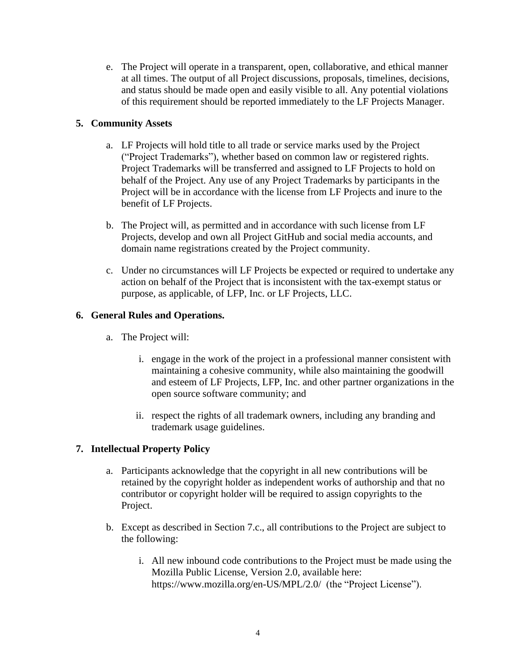e. The Project will operate in a transparent, open, collaborative, and ethical manner at all times. The output of all Project discussions, proposals, timelines, decisions, and status should be made open and easily visible to all. Any potential violations of this requirement should be reported immediately to the LF Projects Manager.

## **5. Community Assets**

- a. LF Projects will hold title to all trade or service marks used by the Project ("Project Trademarks"), whether based on common law or registered rights. Project Trademarks will be transferred and assigned to LF Projects to hold on behalf of the Project. Any use of any Project Trademarks by participants in the Project will be in accordance with the license from LF Projects and inure to the benefit of LF Projects.
- b. The Project will, as permitted and in accordance with such license from LF Projects, develop and own all Project GitHub and social media accounts, and domain name registrations created by the Project community.
- c. Under no circumstances will LF Projects be expected or required to undertake any action on behalf of the Project that is inconsistent with the tax-exempt status or purpose, as applicable, of LFP, Inc. or LF Projects, LLC.

### **6. General Rules and Operations.**

- a. The Project will:
	- i. engage in the work of the project in a professional manner consistent with maintaining a cohesive community, while also maintaining the goodwill and esteem of LF Projects, LFP, Inc. and other partner organizations in the open source software community; and
	- ii. respect the rights of all trademark owners, including any branding and trademark usage guidelines.

### **7. Intellectual Property Policy**

- a. Participants acknowledge that the copyright in all new contributions will be retained by the copyright holder as independent works of authorship and that no contributor or copyright holder will be required to assign copyrights to the Project.
- b. Except as described in Section 7.c., all contributions to the Project are subject to the following:
	- i. All new inbound code contributions to the Project must be made using the Mozilla Public License, Version 2.0, available here: https://www.mozilla.org/en-US/MPL/2.0/ (the "Project License").